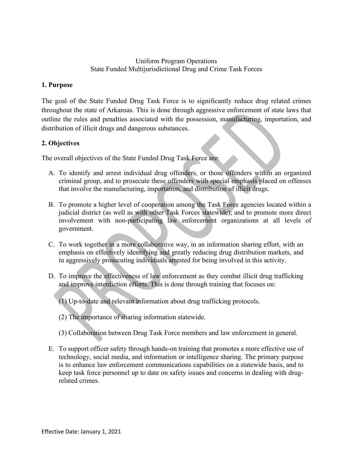### Uniform Program Operations State Funded Multijurisdictional Drug and Crime Task Forces

Uniform Program Operations<br>
State Funded Multijurisdictional Drug and Crime Tas<br>
1. Purpose<br>
The goal of the State Funded Drug Task Force is to significantly re<br>
throughout the state of Arkansas. This is done through aggre The goal of the State Funded Drug Task Force is to significantly reduce drug related crimes Uniform Program Operations<br>
1. Purpose<br>
1. Purpose<br>
1. Purpose<br>
The goal of the State Funded Drug Task Force is to significantly reduce drug related crimes<br>
throughout the state of Arkansas. This is done through aggressive outline the rules and penalties associated with the possession, manufacturing, importation, and distribution of illicit drugs and dangerous substances. Uniform Program Operations<br>
State Funded Multijurisdictional Drug and Crime Task Forces<br>
Purpose<br>
e goal of the State Funded Drug Task Force is to significantly reduce drug related crimes<br>
coughout the state of Arkansas. T is equal of the State Funded Drug Task Force is to significantly reduce drug related crimes<br>oughout the state of Arkansas. This is done through aggressive enforcement of state laws that<br>this this metallic angles associated

# 2. Objectives

The overall objectives of the State Funded Drug Task Force are:

- criminal group, and to prosecute these offenders with special emphasis placed on offenses that involve the manufacturing, importation, and distribution of illicit drugs.
- B. To promote a higher level of cooperation among the Task Force agencies located within a judicial district (as well as with other Task Forces statewide); and to promote more direct involvement with non-participating law enforcement organizations at all levels of government. thout the state of Arkansas. This is done through aggressive enforcement of state laws that<br>the rules and penalties associated with the possession, manufacturing, importation, and<br>tution of illicit drugs and dangerous subs STEM CONTITIONS TO THE THE CONTINUO OF THE STEAD AND THE UNIVERSITY ON A TO identify and arrest individual drug offenders or those offenders within an organized criminal group, and to prosecute these offenders with special
- in aggressively prosecuting individuals arrested for being involved in this activity.
- and improve interdiction efforts. This is done through training that focuses on:
	- (1) Up-to-date and relevant information about drug trafficking protocols.
	- (2) The importance of sharing information statewide.
	- (3) Collaboration between Drug Task Force members and law enforcement in general.
- E. To support officer safety through hands-on training that promotes a more effective use of indicial district (as well as with other Task Forces statewide); and to promote more direct<br>involvement with non-participating law enforcement organizations at all levels of<br>involvement.<br>To work together in a more collabor is to enhance law enforcement communications capabilities on a statewide basis, and to keep task force personnel up to date on safety issues and concerns in dealing with drugrelated crimes.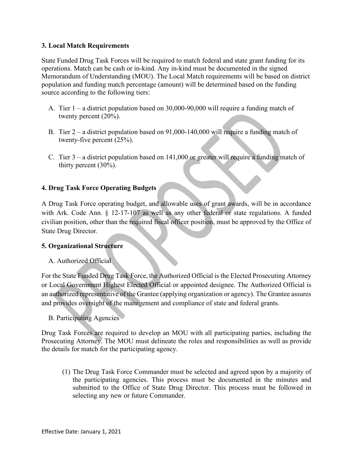## 3. Local Match Requirements

State Funded Drug Task Forces will be required to match federal and state grant funding for its operations. Match can be cash or in-kind. Any in-kind must be documented in the signed Memorandum of Understanding (MOU). The Local Match requirements will be based on district population and funding match percentage (amount) will be determined based on the funding source according to the following tiers:

- A. Tier 1 a district population based on 30,000-90,000 will require a funding match of twenty percent (20%).
- B. Tier 2 a district population based on 91,000-140,000 will require a funding match of twenty-five percent (25%).
- C. Tier 3 a district population based on 141,000 or greater will require a funding match of thirty percent (30%).

# 4. Drug Task Force Operating Budgets

A Drug Task Force operating budget, and allowable uses of grant awards, will be in accordance with Ark. Code Ann. § 12-17-107 as well as any other federal or state regulations. A funded civilian position, other than the required fiscal officer position, must be approved by the Office of State Drug Director.

# 5. Organizational Structure

A. Authorized Official

For the State Funded Drug Task Force, the Authorized Official is the Elected Prosecuting Attorney or Local Government Highest Elected Official or appointed designee. The Authorized Official is an authorized representative of the Grantee (applying organization or agency). The Grantee assures and provides oversight of the management and compliance of state and federal grants.

B. Participating Agencies

Drug Task Forces are required to develop an MOU with all participating parties, including the Prosecuting Attorney. The MOU must delineate the roles and responsibilities as well as provide the details for match for the participating agency.

(1) The Drug Task Force Commander must be selected and agreed upon by a majority of the participating agencies. This process must be documented in the minutes and submitted to the Office of State Drug Director. This process must be followed in selecting any new or future Commander.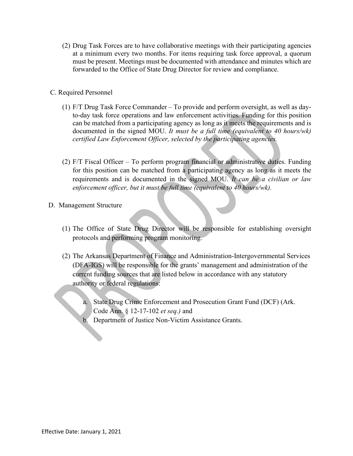- (2) Drug Task Forces are to have collaborative meetings with their participating agencies at a minimum every two months. For items requiring task force approval, a quorum must be present. Meetings must be documented with attendance and minutes which are forwarded to the Office of State Drug Director for review and compliance.
- C. Required Personnel
- (2) Drug Task Forces are to have collaborative meetings with their participating agencies<br>at a minimum every two months. For items requiring task force approval, a quorum<br>must be present. Meetings must be documented with to-day task force operations and law enforcement activities. Funding for this position can be matched from a participating agency as long as it meets the requirements and is documented in the signed MOU. It must be a full time (equivalent to 40 hours/wk) certified Law Enforcement Officer, selected by the participating agencies. Drug Task Forces are to have collaborative meetings with their participating agencies<br>at a minimum every two months. For items requiring task force approval, a quorum<br>must be present. Meetings must be documented with atte ired Personnel<br>
F/T Drug Task Force Commander – To provide and perform oversight, as well as day-<br>
to-day task force operations and law enforcement activities. Funding for this position<br>
documented in the signed MOU. It mu
	- (2) F/T Fiscal Officer To perform program financial or administrative duties. Funding for this position can be matched from a participating agency as long as it meets the enforcement officer, but it must be full time (equivalent to 40 hours/wk).
- D. Management Structure
	- (1) The Office of State Drug Director will be responsible for establishing oversight
- (2) The Arkansas Department of Finance and Administration-Intergovernmental Services (DFA-IGS) will be responsible for the grants' management and administration of the documented in the signed MOU. It must be a full time (equivalent to 40 hours/wk)<br>certified Law Enforcement Officer, selected by the participating agencies.<br>F/T Fiscal Officer – To perform program financial or administrati authority or federal regulations: Fiscal Officer – To perform program financial or administrative duties. Funding<br>this position can be matched from a participating agency as long as it meets the<br>interments and is documented in the signed MOU. It *can be a* besond can be materned from a participating agency as long as the internal formula participations and is documented in the signed MOU. If can be a civility orcement officer, but it must be full time (equivalent to 40 hour
	- Code Ann. § 12-17-102 et seq.) and
	-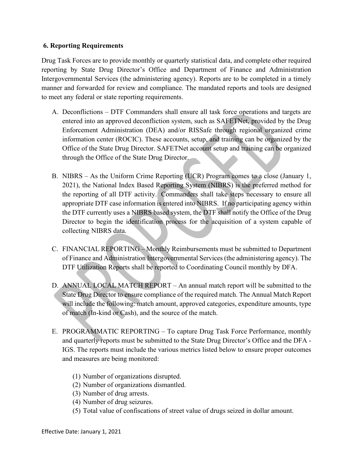## 6. Reporting Requirements

**6. Reporting Requirements**<br>
Drug Task Forces are to provide monthly or quarterly statistical data, and complete other required<br>
reporting by State Drug Director's Office and Department of Finance and Administration<br>
Inter reporting by State Drug Director's Office and Department of Finance and Administration Intergovernmental Services (the administering agency). Reports are to be completed in a timely manner and forwarded for review and compliance. The mandated reports and tools are designed to meet any federal or state reporting requirements. Reporting Requirements<br>
g Task Forces are to provide monthly or quarterly statistical data, and complete other required<br>
by State Drug Director's Office and Department of Finance and Administration<br>
regionemental Services

- orting Requirements<br>sak Forces are to provide monthly or quarterly statistical data, and complete other required<br>g by state Drug Director's Office and Department of Finance and Administration<br>vermmental Services (the admin Enforcement Administration (DEA) and/or RISSafe through regional organized crime orting Requirements<br>sak Forces are to provide monthly or quarterly statistical data, and complete other required<br>ig by State Drug Director's Office and Department of Finance and Administration<br>vermmental Services (the admi orting Requirements<br>sak Forces are to provide monthly or quarterly statistical data, and complete other required<br>ig by State Drug Director's Office and Department of Finance and Administration<br>vermmental Services (the admi through the Office of the State Drug Director. Reporting Requirements<br>
g Task Forces are to provide monthly or quarterly statistical data, and complete other required<br>
orting by State Drug Director's Office and Department of Finance and Administration<br>
raporemmental Se
- 2021), the National Index Based Reporting System (NIBRS) is the preferred method for the reporting of all DTF activity. Commanders shall take steps necessary to ensure all appropriate DTF case information is entered into NIBRS. If no participating agency within the DTF currently uses a NIBRS based system, the DTF shall notify the Office of the Drug Director to begin the identification process for the acquisition of a system capable of collecting NIBRS data.
- C. FINANCIAL REPORTING Monthly Reimbursements must be submitted to Department of Finance and Administration Intergovernmental Services (the administering agency). The DTF Utilization Reports shall be reported to Coordinating Council monthly by DFA.
- D. ANNUAL LOCAL MATCH REPORT An annual match report will be submitted to the State Drug Director to ensure compliance of the required match. The Annual Match Report will include the following: match amount, approved categories, expenditure amounts, type of match (In-kind or Cash), and the source of the match. F Utilization Reports shall be reported to Coordinating Council monthly by DFA<br>NUAL LOCAL MATCH REPORT – An annual match report will be submitted<br>e Drug Director to ensure compliance of the required match. The Amnual Match
- E. PROGRAMMATIC REPORTING To capture Drug Task Force Performance, monthly and quarterly reports must be submitted to the State Drug Director's Office and the DFA - IGS. The reports must include the various metrics listed below to ensure proper outcomes and measures are being monitored:
	- (1) Number of organizations disrupted.
	- (2) Number of organizations dismantled.
	- (3) Number of drug arrests.
	- (4) Number of drug seizures.
	-